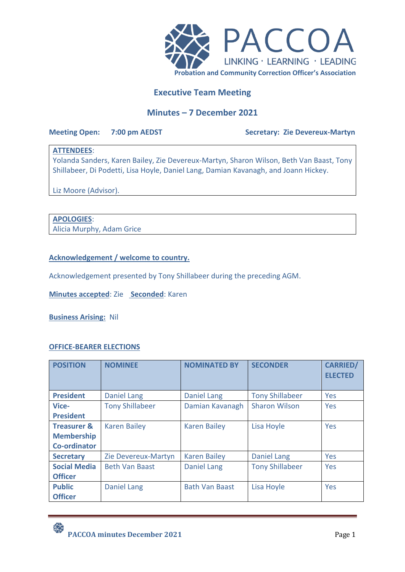

# **Executive Team Meeting**

# **Minutes – 7 December 2021**

### **Meeting Open: 7:00 pm AEDST Secretary: Zie Devereux-Martyn**

# **ATTENDEES**:

Yolanda Sanders, Karen Bailey, Zie Devereux-Martyn, Sharon Wilson, Beth Van Baast, Tony Shillabeer, Di Podetti, Lisa Hoyle, Daniel Lang, Damian Kavanagh, and Joann Hickey.

Liz Moore (Advisor).

## **APOLOGIES**:

Alicia Murphy, Adam Grice

**Acknowledgement / welcome to country.** 

Acknowledgement presented by Tony Shillabeer during the preceding AGM.

**Minutes accepted**: Zie **Seconded**: Karen

**Business Arising:** Nil

## **OFFICE-BEARER ELECTIONS**

| <b>POSITION</b>        | <b>NOMINEE</b>         | <b>NOMINATED BY</b>   | <b>SECONDER</b>        | <b>CARRIED/</b><br><b>ELECTED</b> |
|------------------------|------------------------|-----------------------|------------------------|-----------------------------------|
| <b>President</b>       | <b>Daniel Lang</b>     | <b>Daniel Lang</b>    | <b>Tony Shillabeer</b> | Yes                               |
| Vice-                  | <b>Tony Shillabeer</b> | Damian Kavanagh       | <b>Sharon Wilson</b>   | Yes                               |
| <b>President</b>       |                        |                       |                        |                                   |
| <b>Treasurer &amp;</b> | <b>Karen Bailey</b>    | <b>Karen Bailey</b>   | Lisa Hoyle             | Yes                               |
| <b>Membership</b>      |                        |                       |                        |                                   |
| <b>Co-ordinator</b>    |                        |                       |                        |                                   |
| <b>Secretary</b>       | Zie Devereux-Martyn    | <b>Karen Bailey</b>   | <b>Daniel Lang</b>     | Yes                               |
| <b>Social Media</b>    | <b>Beth Van Baast</b>  | <b>Daniel Lang</b>    | <b>Tony Shillabeer</b> | Yes                               |
| <b>Officer</b>         |                        |                       |                        |                                   |
| <b>Public</b>          | <b>Daniel Lang</b>     | <b>Bath Van Baast</b> | Lisa Hoyle             | Yes                               |
| <b>Officer</b>         |                        |                       |                        |                                   |

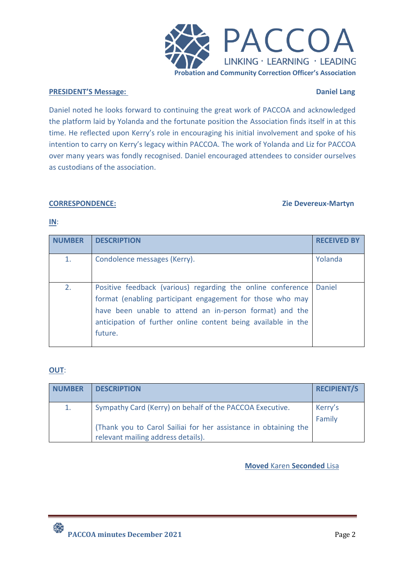

### **PRESIDENT'S Message: Daniel Lang**

Daniel noted he looks forward to continuing the great work of PACCOA and acknowledged the platform laid by Yolanda and the fortunate position the Association finds itself in at this time. He reflected upon Kerry's role in encouraging his initial involvement and spoke of his intention to carry on Kerry's legacy within PACCOA. The work of Yolanda and Liz for PACCOA over many years was fondly recognised. Daniel encouraged attendees to consider ourselves as custodians of the association.

### **CORRESPONDENCE: Zie Devereux-Martyn**

### **IN**:

| <b>ARFR</b> | <b>DESCRIPTION</b>                                                                                                                                                                                                                                              | <b>RECEIVED BY</b> |
|-------------|-----------------------------------------------------------------------------------------------------------------------------------------------------------------------------------------------------------------------------------------------------------------|--------------------|
| 1.          | Condolence messages (Kerry).                                                                                                                                                                                                                                    | Yolanda            |
| 2.          | Positive feedback (various) regarding the online conference<br>format (enabling participant engagement for those who may<br>have been unable to attend an in-person format) and the<br>anticipation of further online content being available in the<br>future. | Daniel             |

# **OUT**:

| <b>NUMBER</b> | <b>DESCRIPTION</b>                                                                                    | <b>RECIPIENT/S</b> |
|---------------|-------------------------------------------------------------------------------------------------------|--------------------|
| 1.            | Sympathy Card (Kerry) on behalf of the PACCOA Executive.                                              | Kerry's            |
|               | (Thank you to Carol Sailiai for her assistance in obtaining the<br>relevant mailing address details). | Family             |

# **Moved** Karen **Seconded** Lisa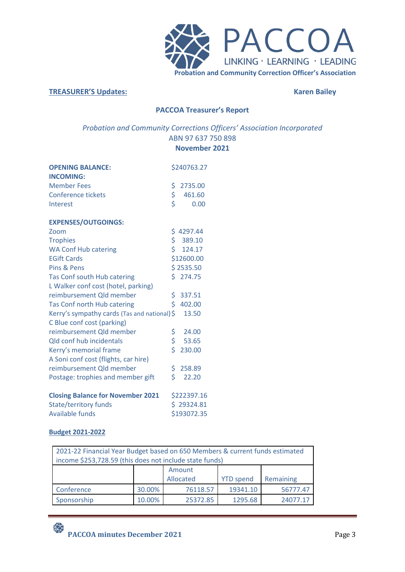

#### **TREASURER'S Updates: Karen Bailey**

# **PACCOA Treasurer's Report**

# *Probation and Community Corrections Officers' Association Incorporated* ABN 97 637 750 898 **November 2021**

| <b>OPENING BALANCE:</b><br><b>INCOMING:</b> |     | \$240763.27 |
|---------------------------------------------|-----|-------------|
| <b>Member Fees</b>                          | \$  | 2735.00     |
| <b>Conference tickets</b>                   | \$  | 461.60      |
| Interest                                    | \$  | 0.00        |
| <b>EXPENSES/OUTGOINGS:</b>                  |     |             |
| Zoom                                        |     | \$4297.44   |
| <b>Trophies</b>                             |     | \$389.10    |
| <b>WA Conf Hub catering</b>                 | Ś.  | 124.17      |
| <b>EGift Cards</b>                          |     | \$12600.00  |
| Pins & Pens                                 |     | \$2535.50   |
| Tas Conf south Hub catering                 |     | \$274.75    |
| L Walker conf cost (hotel, parking)         |     |             |
| reimbursement Qld member                    | \$. | 337.51      |
| Tas Conf north Hub catering                 | \$  | 402.00      |
| Kerry's sympathy cards (Tas and national)\$ |     | 13.50       |
| C Blue conf cost (parking)                  |     |             |
| reimbursement Qld member                    | \$  | 24.00       |
| <b>Qld conf hub incidentals</b>             | \$. | 53.65       |
| Kerry's memorial frame                      | \$. | 230.00      |
| A Soni conf cost (flights, car hire)        |     |             |
| reimbursement Qld member                    | \$. | 258.89      |
| Postage: trophies and member gift           | \$  | 22.20       |
| <b>Closing Balance for November 2021</b>    |     | \$222397.16 |
| <b>State/territory funds</b>                |     | \$29324.81  |
| <b>Available funds</b>                      |     | \$193072.35 |

## **Budget 2021-2022**

| 2021-22 Financial Year Budget based on 650 Members & current funds estimated |        |           |                  |           |  |  |
|------------------------------------------------------------------------------|--------|-----------|------------------|-----------|--|--|
| income \$253,728.59 (this does not include state funds)                      |        |           |                  |           |  |  |
| Amount                                                                       |        |           |                  |           |  |  |
|                                                                              |        | Allocated | <b>YTD</b> spend | Remaining |  |  |
| Conference                                                                   | 30.00% | 76118.57  | 19341.10         | 56777.47  |  |  |
| 10.00%<br>25372.85<br>1295.68<br>Sponsorship<br>24077.17                     |        |           |                  |           |  |  |

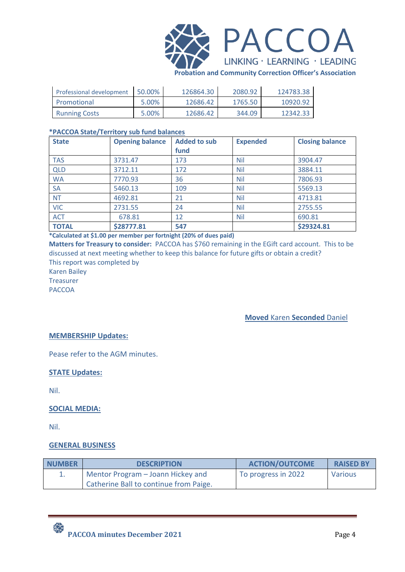

**Probation and Community Correction Officer's Association**

| <b>Professional development</b> | 50.00% | 126864.30 | 2080.92 | 124783.38 |
|---------------------------------|--------|-----------|---------|-----------|
| Promotional                     | 5.00%  | 12686.42  | 1765.50 | 10920.92  |
| <b>Running Costs</b>            | 5.00%  | 12686.42  | 344.09  | 12342.33  |

### **\*PACCOA State/Territory sub fund balances**

| <b>State</b> | <b>Opening balance</b> | <b>Added to sub</b> | <b>Expended</b> | <b>Closing balance</b> |
|--------------|------------------------|---------------------|-----------------|------------------------|
|              |                        | fund                |                 |                        |
| <b>TAS</b>   | 3731.47                | 173                 | <b>Nil</b>      | 3904.47                |
| <b>QLD</b>   | 3712.11                | 172                 | Nil             | 3884.11                |
| <b>WA</b>    | 7770.93                | 36                  | <b>Nil</b>      | 7806.93                |
| <b>SA</b>    | 5460.13                | 109                 | <b>Nil</b>      | 5569.13                |
| <b>NT</b>    | 4692.81                | 21                  | <b>Nil</b>      | 4713.81                |
| <b>VIC</b>   | 2731.55                | 24                  | <b>Nil</b>      | 2755.55                |
| <b>ACT</b>   | 678.81                 | 12                  | <b>Nil</b>      | 690.81                 |
| <b>TOTAL</b> | \$28777.81             | 547                 |                 | \$29324.81             |

**\*Calculated at \$1.00 per member per fortnight (20% of dues paid)**

**Matters for Treasury to consider:** PACCOA has \$760 remaining in the EGift card account. This to be discussed at next meeting whether to keep this balance for future gifts or obtain a credit? This report was completed by

Karen Bailey

Treasurer

PACCOA

**Moved** Karen **Seconded** Daniel

# **MEMBERSHIP Updates:**

Pease refer to the AGM minutes.

## **STATE Updates:**

Nil.

## **SOCIAL MEDIA:**

Nil.

## **GENERAL BUSINESS**

| <b>NUMBER</b> | <b>DESCRIPTION</b>                     | <b>ACTION/OUTCOME</b>        | <b>RAISED BY</b> |
|---------------|----------------------------------------|------------------------------|------------------|
|               | Mentor Program – Joann Hickey and      | <b>I</b> To progress in 2022 | Various          |
|               | Catherine Ball to continue from Paige. |                              |                  |